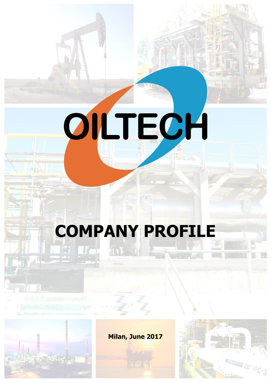DILTECH

# **COMPANY PROFILE**



**Milan, June 2017**

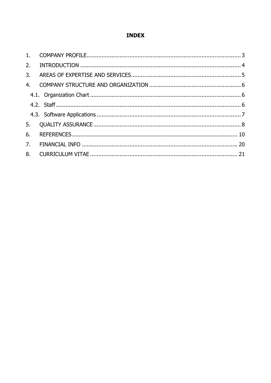#### **INDEX**

| 6. |  |
|----|--|
|    |  |
|    |  |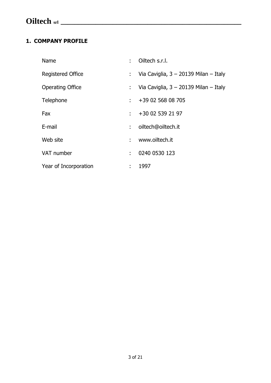#### <span id="page-2-0"></span>**1. COMPANY PROFILE**

| <b>Name</b>              | t. | Oiltech s.r.l.                          |
|--------------------------|----|-----------------------------------------|
| <b>Registered Office</b> | t. | Via Caviglia, $3 - 20139$ Milan - Italy |
| <b>Operating Office</b>  | t. | Via Caviglia, $3 - 20139$ Milan - Italy |
| Telephone                | t. | +39 02 568 08 705                       |
| Fax                      | t. | +30 02 539 21 97                        |
| E-mail                   | t. | oiltech@oiltech.it                      |
| Web site                 | ÷  | www.oiltech.it                          |
| VAT number               | ÷. | 0240 0530 123                           |
| Year of Incorporation    | ÷  | 1997                                    |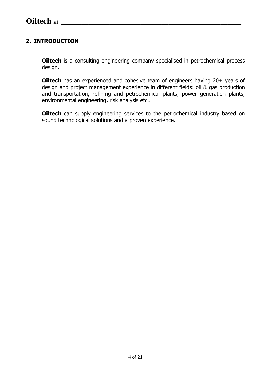#### <span id="page-3-0"></span>**2. INTRODUCTION**

**Oiltech** is a consulting engineering company specialised in petrochemical process design.

**Oiltech** has an experienced and cohesive team of engineers having 20+ years of design and project management experience in different fields: oil & gas production and transportation, refining and petrochemical plants, power generation plants, environmental engineering, risk analysis etc…

**Oiltech** can supply engineering services to the petrochemical industry based on sound technological solutions and a proven experience.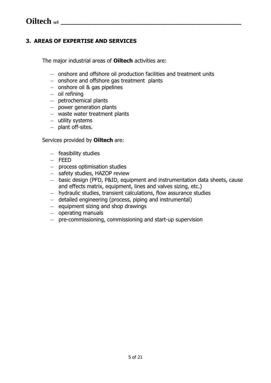#### <span id="page-4-0"></span>**3. AREAS OF EXPERTISE AND SERVICES**

The major industrial areas of **Oiltech** activities are:

- onshore and offshore oil production facilities and treatment units
- $-$  onshore and offshore gas treatment plants
- $-$  onshore oil & gas pipelines
- $-$  oil refining
- petrochemical plants
- $-$  power generation plants
- waste water treatment plants
- utility systems
- $-$  plant off-sites.

#### Services provided by **Oiltech** are:

- feasibility studies
- FEED
- $-$  process optimisation studies
- safety studies, HAZOP review
- basic design (PFD, P&ID, equipment and instrumentation data sheets, cause and effects matrix, equipment, lines and valves sizing, etc.)
- hydraulic studies, transient calculations, flow assurance studies
- detailed engineering (process, piping and instrumental)
- $-$  equipment sizing and shop drawings
- $-$  operating manuals
- pre-commissioning, commissioning and start-up supervision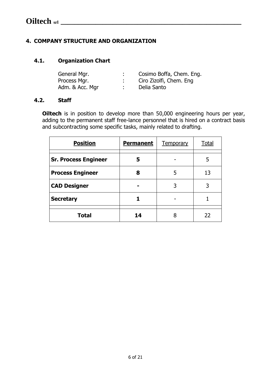#### <span id="page-5-0"></span>**4. COMPANY STRUCTURE AND ORGANIZATION**

#### <span id="page-5-1"></span>**4.1. Organization Chart**

| General Mgr.    | Cosimo Boffa, Chem. Eng. |
|-----------------|--------------------------|
| Process Mgr.    | Ciro Zizolfi, Chem. Eng  |
| Adm. & Acc. Mgr | Delia Santo              |

#### <span id="page-5-2"></span>**4.2. Staff**

**Oiltech** is in position to develop more than 50,000 engineering hours per year, adding to the permanent staff free-lance personnel that is hired on a contract basis and subcontracting some specific tasks, mainly related to drafting.

| <b>Position</b>             | <b>Permanent</b> | <b>Temporary</b> | <b>Total</b> |  |
|-----------------------------|------------------|------------------|--------------|--|
| <b>Sr. Process Engineer</b> | 5                |                  | 5            |  |
| <b>Process Engineer</b>     | 8                |                  |              |  |
| <b>CAD Designer</b>         |                  | 3                | 3            |  |
| <b>Secretary</b>            |                  |                  |              |  |
| <b>Total</b>                | 14               | 8                | 22           |  |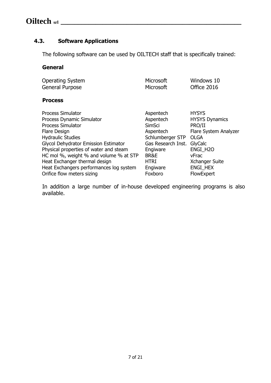#### <span id="page-6-0"></span>**4.3. Software Applications**

The following software can be used by OILTECH staff that is specifically trained:

#### **General**

| <b>Operating System</b>                     | Microsoft          | Windows 10            |
|---------------------------------------------|--------------------|-----------------------|
| <b>General Purpose</b>                      | Microsoft          | Office 2016           |
| <b>Process</b>                              |                    |                       |
| <b>Process Simulator</b>                    | Aspentech          | <b>HYSYS</b>          |
| Process Dynamic Simulator                   | Aspentech          | <b>HYSYS Dynamics</b> |
| <b>Process Simulator</b>                    | <b>SimSci</b>      | PRO/II                |
| <b>Flare Design</b>                         | Aspentech          | Flare System Analyzer |
| <b>Hydraulic Studies</b>                    | Schlumberger STP   | <b>OLGA</b>           |
| <b>Glycol Dehydrator Emission Estimator</b> | Gas Research Inst. | GlyCalc               |
| Physical properties of water and steam      | Engiware           | ENGI H <sub>20</sub>  |
| HC mol %, weight % and volume % at STP      | BR&E               | vFrac                 |
| Heat Exchanger thermal design               | <b>HTRI</b>        | <b>Xchanger Suite</b> |
| Heat Exchangers performances log system     | Engiware           | ENGI_HEX              |
| Orifice flow meters sizing                  | Foxboro            | FlowExpert            |

In addition a large number of in-house developed engineering programs is also available.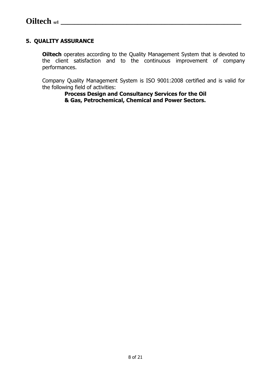#### <span id="page-7-0"></span>**5. QUALITY ASSURANCE**

**Oiltech** operates according to the Quality Management System that is devoted to the client satisfaction and to the continuous improvement of company performances.

Company Quality Management System is ISO 9001:2008 certified and is valid for the following field of activities:

**Process Design and Consultancy Services for the Oil & Gas, Petrochemical, Chemical and Power Sectors.**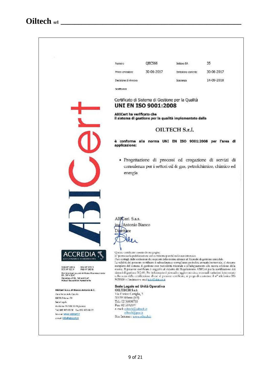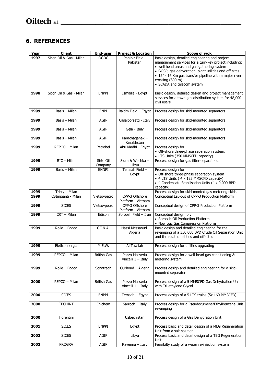#### <span id="page-9-0"></span>**6. REFERENCES**

| Year | <b>Client</b>           | <b>End-user</b>      | <b>Project &amp; Location</b>          | Scope of wok                                                                                                                                                                                                                                                                                                                |
|------|-------------------------|----------------------|----------------------------------------|-----------------------------------------------------------------------------------------------------------------------------------------------------------------------------------------------------------------------------------------------------------------------------------------------------------------------------|
| 1997 | Sicon Oil & Gas - Milan | <b>OGDC</b>          | Panjpir Field -<br>Pakistan            | Basic design, detailed engineering and project<br>management services for a turn-key project including:<br>• well head areas and gas gathering system<br>• GOSP, gas dehydration, plant utilities and off-sites<br>• 12" - 16 Km gas transfer pipeline with a major river<br>crossing (800 m)<br>• SCADA and telecom system |
| 1998 | Sicon Oil & Gas - Milan | <b>ENPPI</b>         | Ismailia - Egypt                       | Basic design, detailed design and project management<br>services for a town gas distribution system for 48,000<br>civil users                                                                                                                                                                                               |
| 1999 | Basis - Milan           | <b>ENPI</b>          | Baltim Field - Egypt                   | Process design for skid-mounted separators                                                                                                                                                                                                                                                                                  |
| 1999 | Basis - Milan           | AGIP                 | Casalborsetti - Italy                  | Process design for skid-mounted separators                                                                                                                                                                                                                                                                                  |
| 1999 | Basis - Milan           | <b>AGIP</b>          | Gela - Italy                           | Process design for skid-mounted separators                                                                                                                                                                                                                                                                                  |
| 1999 | Basis - Milan           | AGIP                 | Karachaganak -<br>Kazakhstan           | Process design for skid-mounted separators                                                                                                                                                                                                                                                                                  |
| 1999 | REPCO - Milan           | Petrobel             | Abu Madhi - Egypt                      | Process design for:<br>• Off-shore three-phase separation system.<br>• LTS Units (350 MMSCFD capacity)                                                                                                                                                                                                                      |
| 1999 | $RIC - Milan$           | Sirte Oil<br>Company | Sidra & Wachka -<br>Libya              | Process design for gas filter-separators.                                                                                                                                                                                                                                                                                   |
| 1999 | Basis - Milan           | <b>ENNPI</b>         | Temsah Field -<br>Egypt                | Process design for:<br>• Off-shore three-phase separation system<br>• 4 LTS Units ( 4 x 125 MMSCFD capacity)<br>• 4 Condensate Stabilisation Units (4 x 9,000 BPD<br>capacity)                                                                                                                                              |
| 1999 | Triply - Milan          |                      |                                        | Process design for skid-monted gas metering skids                                                                                                                                                                                                                                                                           |
| 1999 | CSImpianti - Milan      | Vietsovpetro         | CPP-3 Offshore<br>Platform - Vietnam   | Conceptual Lay-out of CPP-3 Production Platform                                                                                                                                                                                                                                                                             |
| 1999 | <b>SICES</b>            | Vietsovpetro         | CPP-3 Offshore<br>Platform - Vietnam   | Conceptual design of CPP-3 Production Platform                                                                                                                                                                                                                                                                              |
| 1999 | CRT - Milan             | Edison               | Soroosh Field - Iran                   | Conceptual design for:<br>• Soroosh Oil Production Platform<br>• Nowrouz Gas Compression Platform                                                                                                                                                                                                                           |
| 1999 | Rolle - Padoa           | C.I.N.A.             | Hassi Messaoud-<br>Algeria             | Basic design and detailed engineering for the<br>revamping of a 350,000 BPD Crude Oil Separation Unit<br>and the related utilities and off-sites                                                                                                                                                                            |
| 1999 | Elettraenergia          | M.E.W.               | Al Tawilah                             | Process design for utilities upgrading                                                                                                                                                                                                                                                                                      |
| 1999 | REPCO - Milan           | <b>British Gas</b>   | Pozzo Masseria<br>Vincelli $1 -$ Italy | Process design for a well-head gas conditioning &<br>metering system                                                                                                                                                                                                                                                        |
| 1999 | Rolle - Padoa           | Sonatrach            | Ourhoud - Algeria                      | Process design and detailed engineering for a skid-<br>mounted separator                                                                                                                                                                                                                                                    |
| 2000 | REPCO - Milan           | <b>British Gas</b>   | Pozzo Masseria<br>Vincelli 1 - Italy   | Process design of a 5 MMSCFD Gas Dehydration Unit<br>with Tri-ethylene Glycol                                                                                                                                                                                                                                               |
| 2000 | <b>SICES</b>            | <b>ENPPI</b>         | Temsah - Egypt                         | Process design of a 5 LTS trains (5x 160 MMSCFD)                                                                                                                                                                                                                                                                            |
| 2000 | <b>TECHINT</b>          | Enichem              | Sarroch - Italy                        | Process design for a Pseudocumene/EthylBenzene Unit<br>revamping                                                                                                                                                                                                                                                            |
| 2000 | Fiorentini              |                      | Uzbechistan                            | Process design of a Gas Dehydration Unit                                                                                                                                                                                                                                                                                    |
| 2001 | <b>SICES</b>            | <b>ENPPI</b>         | Egypt                                  | Process basic and detail design of a MEG Regeneration<br>Unit from a salt solution                                                                                                                                                                                                                                          |
| 2002 | <b>SICES</b>            | AGIP                 | Libya                                  | Process basic and detail design of a TEG Regeneration<br>Unit                                                                                                                                                                                                                                                               |
| 2002 | <b>PROGRA</b>           | <b>AGIP</b>          | Ravenna - Italy                        | Feasibilty study of a water re-injection system                                                                                                                                                                                                                                                                             |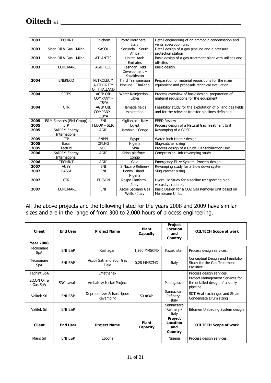| 2003 | <b>TECHINT</b>           | Enichem             | Porto Marghera -    | Detail engineering of an ammonia condensation and           |
|------|--------------------------|---------------------|---------------------|-------------------------------------------------------------|
|      |                          |                     | Italy               | vents absorption unit                                       |
| 2003 | Sicon Oil & Gas - Milan  | <b>SASOL</b>        | Secunda - South     | Detail design of a gas pipeline and a pressure              |
|      |                          |                     | Africa              | protection station                                          |
| 2003 | Sicon Oil & Gas - Milan  | <b>ATLANTIS</b>     | <b>United Arab</b>  | Basic design of a gas treatment plant with utilities and    |
|      |                          |                     | Emirates            | off-sites                                                   |
| 2003 | <b>TECNOMARE</b>         | AGIP KCO            | Kashgan Field       | Basic design                                                |
|      |                          |                     | Development -       |                                                             |
|      |                          |                     | Kazakhstan          |                                                             |
| 2004 | <b>ENERECO</b>           | PETROLEUM           | Third Transmission  | Preparation of material requisitions for the main           |
|      |                          | <b>AUTHORITY</b>    | Pipeline - Thailand | equipment and proposals technical evaluation                |
|      |                          | OF THAILAND         |                     |                                                             |
| 2004 | <b>SICES</b>             | <b>AGIP OIL</b>     | Water Reinjection - | Process overview of basic design, preparation of            |
|      |                          | COMPANY -           | Libya               | material requisitions for the equipment                     |
|      |                          | <b>LIBYA</b>        |                     |                                                             |
| 2004 | <b>CTR</b>               | <b>AGIP OIL</b>     | Hamada fields       | Feasibility study for the explotation of oil and gas fields |
|      |                          | COMPANY -           | explotation         | and for the relevant transfer pipelines definition          |
|      |                          | <b>LIBYA</b>        |                     |                                                             |
| 2005 | E&M Services (ENI Group) | ENI                 | Miglianico - Italy  | <b>FEED Review</b>                                          |
| 2005 | <b>ITP</b>               | <b>FLUOR - SEIC</b> | Egypt               | Process design of a Natural Gas Treatment Unit              |
| 2005 | SAIPEM Energy            | <b>AGIP</b>         | Jambala - Congo     | Revamping of a GOSP                                         |
|      | International            |                     |                     |                                                             |
| 2005 | <b>ITP</b>               | <b>ENPPI</b>        | Egypt               | Water Bath Heater design                                    |
| 2005 | Bassi                    | <b>OKLNG</b>        | Nigeria             | Slug-catcher sizing                                         |
| 2005 | Tectubi                  | <b>SOC</b>          | Lybia               | Process design of a Crude Oil Stabilization Unit            |
| 2006 | <b>SAIPEM Energy</b>     | <b>AGIP</b>         | Kitina platform -   | Compression Unit revamping study                            |
|      | International            |                     | Congo               |                                                             |
| 2006 | <b>TECHINT</b>           | <b>AGIP</b>         | Gela                | Emergency Flare System. Process design.                     |
| 2007 | <b>AUSY</b>              | <b>ENI</b>          | S.Nazaro Refinery   | Revamping study for a Blow down system.                     |
| 2007 | <b>BASSI</b>             | ENI                 | Bonny Island -      | Slug-catcher sizing                                         |
|      |                          |                     | Nigeria             |                                                             |
| 2007 | <b>CTR</b>               | <b>EDISON</b>       | Rospo Platform -    | Hydraulic Study for a sealine transporting high             |
|      |                          |                     | Italy               | viscosity crude oil.                                        |
| 2007 | <b>TECNOMARE</b>         | <b>ENI</b>          | Ascoli Satriano Gas | Basic Design for a CO2 Gas Removal Unit based on            |
|      |                          |                     |                     |                                                             |

All the above projects and the following listed for the years 2008 and 2009 have similar sizes and <u>are in the range of from 300 to 2,000 hours of process engineering</u>.

| <b>Client</b>           | <b>End User</b> | <b>Project Name</b>                     | <b>Plant</b><br>Capacity | <b>Project</b><br>Location<br>and<br>Country | <b>OILTECH Scope of work</b>                                                    |
|-------------------------|-----------------|-----------------------------------------|--------------------------|----------------------------------------------|---------------------------------------------------------------------------------|
| <b>Year 2008</b>        |                 |                                         |                          |                                              |                                                                                 |
| Tecnomare<br><b>SpA</b> | ENI E&P         | Kashagan                                | 1,260 MMSCFD             | Kazakhstan                                   | Process design services.                                                        |
| Tecnomare<br><b>SpA</b> | ENI E&P         | Ascoli Satriano Sour Gas<br>Field       | 0,28 MMSCMD              | Italy                                        | Conceptual Design and Feasibility<br>Study for the Gas Treatment<br>Facilities. |
| <b>Techint SpA</b>      |                 | EMethanex                               |                          |                                              | Process design services.                                                        |
| SICON Oil &<br>Gas SpA  | SNC Lavalin     | Ambatovy Nickel Project                 |                          | Madagascar                                   | Project Management Services for<br>the detailed design of a slurry<br>pipeline  |
| Valitek Srl             | FNI F&P         | Depropanizer & Isostripper<br>Revamping | 50 m3/h                  | Sannazzaro<br>Refinery -<br>Italy            | S&T Heat exchanger and Steam<br>Condensate Drum sizing                          |
| <b>Valitek Srl</b>      | ENI E&P         |                                         |                          | Sannazzaro<br>Refinery -<br>Italy            | Bitumen Unloading System design                                                 |
| <b>Client</b>           | <b>End User</b> | <b>Project Name</b>                     | <b>Plant</b><br>Capacity | <b>Project</b><br>Location<br>and<br>Country | <b>OILTECH Scope of work</b>                                                    |
| Maris Srl               | ENI E&P         | Ebocha                                  |                          | Nigeria                                      | Process design services.                                                        |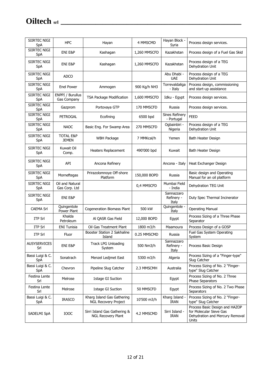| SIIRTEC NIGI<br><b>SpA</b> | <b>HPC</b>                       | Hayan                                                     | 4 MMSCMD     | Hayan Block -<br>Syria            | Process design services.                                                                              |
|----------------------------|----------------------------------|-----------------------------------------------------------|--------------|-----------------------------------|-------------------------------------------------------------------------------------------------------|
| SIIRTEC NIGI<br><b>SpA</b> | ENI E&P                          | Kashagan                                                  | 1,260 MMSCFD | Kazakhstan                        | Process design of a Fuel Gas Skid                                                                     |
| SIIRTEC NIGI<br><b>SpA</b> | ENI E&P                          | Kashagan                                                  | 1,260 MMSCFD | Kazakhstan                        | Process design of a TEG<br>Dehydration Unit                                                           |
| SIIRTEC NIGI<br>SpA        | <b>ADCO</b>                      |                                                           |              | Abu Dhabi -<br><b>UAE</b>         | Process design of a TEG<br>Dehydration Unit                                                           |
| SIIRTEC NIGI<br>SpA        | <b>Enel Power</b>                | Ammogen                                                   | 900 Kg/h NH3 | Torrevaldaliga<br>- Italy         | Process design, commissioning<br>and start-up assistance                                              |
| SIIRTEC NIGI<br>SpA        | ENPPI / Burullus<br>Gas Company  | TSA Package Modification                                  | 1,600 MMSCFD | Idku - Egypt                      | Process design services.                                                                              |
| SIIRTEC NIGI<br><b>SpA</b> | Gazprom                          | Portovaya GTP                                             | 170 MMSCFD   | Russia                            | Process design services.                                                                              |
| SIIRTEC NIGI<br>SpA        | <b>PETROGAL</b>                  | Ecofining                                                 | 6500 bpd     | Sines Refinery<br>- Portugal      | <b>FEED</b>                                                                                           |
| SIIRTEC NIGI<br>SpA        | <b>NAOC</b>                      | Basic Eng. For Swamp Area                                 | 270 MMSCFD   | Ogbainbiri -<br>Nigeria           | Process design of a TEG<br>Dehydration Unit                                                           |
| SIIRTEC NIGI<br><b>SpA</b> | <b>TOTAL E&amp;P</b><br>JEMEN    | <b>WBH Package</b>                                        | 7 MMKcal/h   | Yemen                             | Bath Heater Design                                                                                    |
| SIIRTEC NIGI<br><b>SpA</b> | Kuwait Oil<br>Comp.              | Heaters Replacement                                       | 490'000 bpd  | Kuwait                            | Bath Heater Design                                                                                    |
| SIIRTEC NIGI<br>SpA        | API                              | Ancona Refinery                                           |              | Ancona - Italy                    | Heat Exchanger Design                                                                                 |
| SIIRTEC NIGI<br>SpA        | Morneftegas                      | Prirazolomnoye Off-shore<br>Platform                      | 150,000 BOPD | Russia                            | Basic design and Operating<br>Manual for an oil platform                                              |
| SIIRTEC NIGI<br>SpA        | Oil and Natural<br>Gas Corp. Ltd |                                                           | 0,4 MMSCFD   | Mumbai Field<br>- India           | Dehydration TEG Unit                                                                                  |
| SIIRTEC NIGI<br>SpA        | ENI E&P                          |                                                           |              | Sannazzaro<br>Refinery -<br>Italy | Duty Spec Thermal Incinerator                                                                         |
| <b>CAEMA Srl</b>           | Quingentole<br>Power Plant       | Cogeneration Biomass Plant                                | 500 kW       | Quingentole -<br>Italy            | <b>Operating Manual</b>                                                                               |
| <b>ITP Srl</b>             | Khalda<br>Petroleum              | Al QASR Gas Field                                         | 12,000 BOPD  | Egypt                             | Process Sizing of a Three Phase<br>Separator                                                          |
| <b>ITP Srl</b>             | ENI Tunisia                      | Oil Gas Treatment Plant                                   | 1800 m3/h    | Maamoura                          | Process Design of a GOSP                                                                              |
| <b>ITP Srl</b>             | Fluor                            | Booster Station 2 Sakhaline<br>Island                     | 0.25 MMSCMD  | Russia                            | Fuel Gas System Operating<br>System                                                                   |
| <b>AUSYSERVICES</b><br>Srl | ENI E&P                          | <b>Track LPG Unloading</b><br>System                      | 500 Nm3/h    | Sannazzaro<br>Refinery -<br>Italy | Process Basic Design                                                                                  |
| Bassi Luigi & C.<br>SpA    | Sonatrach                        | Menzel Ledjmet East                                       | 5300 m3/h    | Algeria                           | Process Sizing of a "Finger-type"<br>Slug Catcher                                                     |
| Bassi Luigi & C.<br>SpA    | Chevron                          | Pipeline Slug Catcher                                     | 2.3 MMSCMH   | Australia                         | Process Sizing of No. 2 "Finger-<br>type" Slug Catcher                                                |
| Festina Lente<br>Srl       | Melrose                          | 1stage GI Suction                                         |              | Egypt                             | Process Sizing of No. 2 Three<br>Phase Separators                                                     |
| Festina Lente<br>Srl       | Melrose                          | 1stage GI Suction                                         | 50 MMSCFD    | Egypt                             | Process Sizing of No. 2 Two Phase<br>Separators                                                       |
| Bassi Luigi & C.<br>SpA    | <b>IRASCO</b>                    | Kharg Island Gas Gathering<br><b>NGL Recovery Project</b> | 10'500 m3/h  | Kharg Island<br>IRAN              | Process Sizing of No. 2 "Finger-<br>type" Slug Catcher                                                |
| SADELMI SpA                | <b>IOOC</b>                      | Sirri Island Gas Gathering &<br><b>NGL Recovery Plant</b> | 4.2 MMSCMD   | Sirri Island -<br><b>IRAN</b>     | Process Basic Design and HAZOP<br>for Molecular Sieve Gas<br>Dehydration and Mercury Removal<br>Units |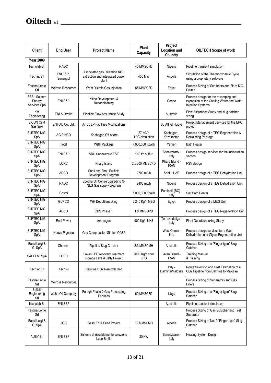| <b>Client</b>                          | <b>End User</b>                 | <b>Project Name</b>                                                        | <b>Plant</b><br>Capacity          | Project<br><b>Location and</b><br>Country | <b>OILTECH Scope of work</b>                                                                                 |
|----------------------------------------|---------------------------------|----------------------------------------------------------------------------|-----------------------------------|-------------------------------------------|--------------------------------------------------------------------------------------------------------------|
| <b>Year 2009</b>                       |                                 |                                                                            |                                   |                                           |                                                                                                              |
| <b>Tecnolab Srl</b>                    | <b>NAOC</b>                     |                                                                            | 45 MMSCFD                         | Nigeria                                   | Pipeline transient simulation                                                                                |
| <b>Techint Srl</b>                     | <b>ENI E&amp;P/</b><br>Sonangol | Associated gas utilization NGL<br>extraction and Integrated power<br>plant | 450 MW                            | Angola                                    | Simulation of the Thermodynamic Cycle<br>using a proprietary software                                        |
| Festina Lente<br>Srl                   | Melrose Resources               | West Dikirnis Gas Injection                                                | 85 MMSCFD                         | Egypt                                     | Process Sizing of Scrubbers and Flare K.O.<br>Drums                                                          |
| SES - Saipem<br>Energy<br>Services SpA | ENI E&P                         | Kitina Development &<br>Reconditioning                                     |                                   | Congo                                     | Process design for the revamping and<br>expansion of the Cooling Water and Water<br><b>Injection Systems</b> |
| ΚM<br>Engineering                      | <b>ENI Australia</b>            | Pipeline Flow Assurance Study                                              |                                   | Australia                                 | Flow Assurance Study and slug catcher<br>sizing                                                              |
| SICON Oil &<br>Gas SpA                 | ENI OIL Co. Ltd.                | A/100 LP Facilities Modifications                                          |                                   | Bu Attifel - Libya                        | Project Management Services for the EPC<br>project                                                           |
| SIIRTEC NIGI<br>SpA                    | AGIP KCO                        | Kashagan Off-shore                                                         | 27 m3/h<br><b>TEG</b> circulation | Kashagan -<br>Kazakhstan                  | Process design of a TEG Regeneration &<br>Reclaiming Package                                                 |
| SIIRTEC NIGI<br>SpA                    | Total                           | <b>WBH Package</b>                                                         | 7,000,000 Kcal/h                  | Yemen                                     | <b>Bath Heater</b>                                                                                           |
| SIIRTEC NIGI<br>SpA                    | ENI E&P                         | SRU Sannazzaro EST                                                         | 160 t/d sulfur                    | Sannazzaro -<br>Italy                     | Process design services for the incineration<br>section                                                      |
| <b>SIIRTEC NIGI</b><br>SpA             | <b>LORC</b>                     | Kharg Island                                                               | 2 x 300 MMSCFD                    | Kharg Island -<br><b>IRAN</b>             | PSV design                                                                                                   |
| SIIRTEC NIGI<br>SpA                    | ADCO                            | Sahil and Shau Fullfield<br>Development Program                            | 2700 m3/h                         | Sahil - UAE                               | Process design of a TEG Dehydration Unit                                                                     |
| SIIRTEC NIGI<br>SpA                    | <b>NAOC</b>                     | Ebocha Oil Centre upgrading N-<br>NLG Gas supply program                   | 2400 m3/h                         | Nigeria                                   | Process design of a TEG Dehydration Unit                                                                     |
| SIIRTEC NIGI<br>SpA                    | Cosmi                           |                                                                            | 7,000,000 Kcal/h                  | Ponticelli (BO) -<br>Italy                | Salt Bath Heater                                                                                             |
| SIIRTEC NIGI<br>SpA                    | <b>GUPCO</b>                    | WH Debottlenecking                                                         | 2,240 Kg/h MEG                    | Egypt                                     | Process design of a MEG Unit                                                                                 |
| SIIRTEC NIGI<br>SpA                    | ADCO                            | CDS Phase 1                                                                | 1.8 MMBOPD                        |                                           | Process design of a TEG Regeneration Unit                                                                    |
| SIIRTEC NIGI<br>SpA                    | <b>Enel Power</b>               | Ammogen                                                                    | 900 Kg/h NH3                      | Torrevaldaliga -<br>Italy                 | Plant Debottlenecking Study                                                                                  |
| SIIRTEC NIGI<br>SpA                    | Nuovo Pignone                   | Gas Compression Station CGS6                                               |                                   | West Quma -<br>Iraq                       | Process design services for a Gas<br>Dehydration and Glycol Regeneration Unit                                |
| Bassi Luigi &<br>C. SpA                | Chevron                         | Pipeline Slug Carcher                                                      | 2.3 MMSCMH                        | Australia                                 | Process Sizing of a "Finger-type" Slug<br>Catcher                                                            |
| SADELMI SpA                            | <b>LORC</b>                     | Lavan LPG recovery treatment<br>storage Lava & Jetty Project               | 9000 Kg/h sour<br>LPG             | lavan Island -<br><b>IRAN</b>             | <b>Training Manual</b><br>& Training                                                                         |
| <b>Techint Srl</b>                     | Techint                         | Dalmine CO2 Removal Unit                                                   |                                   | Italy -<br>Dalmine/Malossa                | Route Selection and Cost Estimation of a<br>CO2 Pipeline from Dalmine to Malossa                             |
| Festina Lente<br>Srl                   | Melrose Resources               |                                                                            |                                   |                                           | Process Sizing of Separators and Gas<br><b>Filters</b>                                                       |
| Bellelli<br>Engineering<br>Srl         | Waha Oil Company                | Faregh Phase 2 Gas Processing<br>Facilities                                | 60 MMSCFD                         | Libya                                     | Process Sizing of a "Finger-type" Slug<br>Catcher                                                            |
| Tecnolab Srl                           | ENI E&P                         |                                                                            |                                   | Australia                                 | Pipeline transient simulation                                                                                |
| Festina Lente<br>Srl                   |                                 |                                                                            |                                   |                                           | Process Sizing of Gas Scrubber and Test<br>Separator                                                         |
| Bassi Luigi &<br>C. SpA                | JGC                             | Gassi Touil Feed Project                                                   | 12 MMSCMD                         | Algeria                                   | Process Sizing of No. 2 "Finger-type" Slug<br>Catcher                                                        |
| <b>AUSY Srl</b>                        | ENI E&P                         | Sistema di riscaldamento soluzione<br>Lean Baffle                          | 30 KW                             | Sannazzaro -<br>Italy                     | Heating System Design                                                                                        |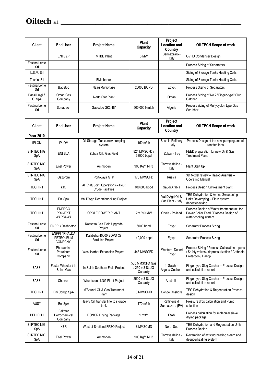| <b>Client</b>           | <b>End User</b>     | <b>Project Name</b> | <b>Plant</b><br>Capacity | Project<br>Location and<br>Country | <b>OILTECH Scope of work</b>                         |
|-------------------------|---------------------|---------------------|--------------------------|------------------------------------|------------------------------------------------------|
|                         | ENI E&P             | <b>MTBE Plant</b>   | 3 MW                     | Sannazzaro -<br>Italy              | <b>OVHD Condenser Design</b>                         |
| Festina Lente<br>Srl    |                     |                     |                          |                                    | Process Sizing of Separators                         |
| L.S.M. Srl              |                     |                     |                          |                                    | Sizing of Storage Tanks Heating Coils                |
| <b>Techint Srl</b>      |                     | EMethanex           |                          |                                    | Sizing of Storage Tanks Heating Coils                |
| Festina Lente<br>Srl    | Bapetco             | Neag Multiphase     | 20000 BOPD               | Egypt                              | Process Sizing of Separators                         |
| Bassi Luigi &<br>C. SpA | Oman Gas<br>Company | North Star Plant    |                          | Oman                               | Process Sizing of No.2 "Finger-type" Slug<br>Catcher |
| Festina Lente<br>Srl    | Sonatrach           | Gazoduc GK3/48"     | 500,000 Nm3/h            | Algeria                            | Process sizing of Multycyclon type Gas<br>Scrubber   |

| <b>Client</b>        | <b>End User</b>                                   | <b>Project Name</b>                                          | Plant<br>Capacity                          | Project<br><b>Location and</b><br>Country | <b>OILTECH Scope of work</b>                                                                                        |
|----------------------|---------------------------------------------------|--------------------------------------------------------------|--------------------------------------------|-------------------------------------------|---------------------------------------------------------------------------------------------------------------------|
| <b>Year 2010</b>     |                                                   |                                                              |                                            |                                           |                                                                                                                     |
| <b>IPLOM</b>         | <b>IPLOM</b>                                      | Oil Storage Tanks new pumping<br>system                      | 150 m3/h                                   | <b>Busalla Refinery</b><br>- Italy        | Process Design of the new pumping and oil<br>transfer lines.                                                        |
| SIIRTEC NIGI<br>SpA  | <b>ENI SpA</b>                                    | Zubair Oil / Gas Field                                       | 824 MMSCFD /<br>33000 bopd                 | Zubair - Iraq                             | FEED preparation for new Oil & Gas<br><b>Treatment Plant</b>                                                        |
| SIIRTEC NIGI<br>SpA  | <b>Enel Power</b>                                 | Ammogen                                                      | 900 Kg/h NH3                               | Torrevaldaliga -<br>Italy                 | Plant Start Up                                                                                                      |
| SIIRTEC NIGI<br>SpA  | Gazprom                                           | Portovaya GTP                                                | 170 MMSCFD                                 | Russia                                    | 3D Model review - Hazop Analysis -<br><b>Operating Manual</b>                                                       |
| <b>TECHINT</b>       | kJO                                               | Al Khafji Joint Operations - Hout<br><b>Crude Facilities</b> | 100,000 bopd                               | Saudi Arabia                              | Process Design Oil treatment plant                                                                                  |
| <b>TECHINT</b>       | Eni SpA                                           | Val D'Agri Debottlenecking Project                           |                                            | Val D'Agri Oil &<br>Gas Plant - Italy     | <b>TEG Dehydration &amp; Amine Sweetening</b><br>Units Revamping - Flare system<br>debottlenecking                  |
| <b>TECHINT</b>       | <b>ENERGO</b><br><b>PROJEKT</b><br><b>WARSAWA</b> | <b>OPOLE POWER PLANT</b>                                     | 2 x 890 MW                                 | Opole - Polland                           | Process Design of Water treatment unit for<br>Power Boiler Feed / Process Design of<br>water cooling system         |
| Festina Lente<br>Srl | ENPPI / Rashpetco                                 | Rossetta Gas Field Upgrade<br>Project                        | 6000 bopd                                  | Egypt                                     | Separator Process Sizing                                                                                            |
| Festina Lente<br>Srl | ENPPI / KHALDA<br>PETROLEUM<br><b>COMPANY</b>     | Kalabsha 40000 BOPD Oil<br><b>Facilities Project</b>         | 40,000 bopd                                | Egypt                                     | Separator Process Sizing                                                                                            |
| Festina Lente<br>Srl | Pharaoninc<br>Petroleum<br>Company                | West Harbor Expansion Project                                | 443 MMSCFD                                 | Western Desert<br>Egypt                   | Process Sizing / Process Calculation reports<br>/ Safety valves / depressurization / Cathodic<br>Protection / Hazop |
| <b>BASSI</b>         | Foster Wheeler / In<br>Salah Gas                  | In Salah Southern Field Project                              | 500 MMSCFD Gas<br>/250 m3 SLUG<br>Capacity | In Salah -<br>Algeria Onshore             | Finger type Slug Catcher - Process Design<br>and calculation report                                                 |
| <b>BASSI</b>         | Chevron                                           | Wheatstone LNG Plant Project                                 | 2500 m3 SLUG<br>Capacity                   | Australia                                 | Finger type Slug Catcher - Process Design<br>and calculation report                                                 |
| <b>TECHINT</b>       | Eni Congo SpA                                     | M'Boundi Oil & Gas Treatment<br>Plant                        | 3 MMSCMD                                   | Congo Onshore                             | TEG Dehydration & Regeneration Process<br>design                                                                    |
| <b>AUSY</b>          | Eni SpA                                           | Heavy Oil transfer line to storage<br>tank                   | 170 m3/h                                   | Raffineria di<br>Sannazzaro (PV)          | Pressure drop calculation and Pump<br>selection                                                                     |
| <b>BELLELLI</b>      | <b>Bakhtar</b><br>Petrochemical<br>Company        | <b>DONOR Drying Package</b>                                  | 1 m3/h                                     | <b>IRAN</b>                               | Process calculation for molecular sieve<br>drying package                                                           |
| SIIRTEC NIGI<br>SpA  | <b>KBR</b>                                        | West of Shetland FPSO Project                                | & MMSCMD                                   | North Sea                                 | TEG Dehydration and Regeneration Units<br>Process Design                                                            |
| SIIRTEC NIGI<br>SpA  | <b>Enel Power</b>                                 | Ammogen                                                      | 900 Kg/h NH3                               | Torrevaldaliga -<br>Italy                 | Revamping of existing heating steam and<br>desuperheating system                                                    |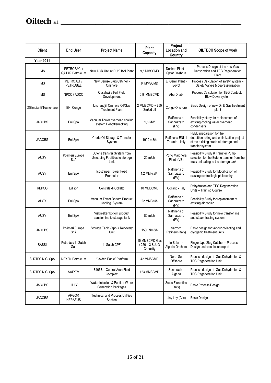| <b>Client</b>        | <b>End User</b>                      | <b>Project Name</b>                                                          | <b>Plant</b><br>Capacity                 | Project<br><b>Location and</b><br>Country                                  | <b>OILTECH Scope of work</b>                                                                                                     |
|----------------------|--------------------------------------|------------------------------------------------------------------------------|------------------------------------------|----------------------------------------------------------------------------|----------------------------------------------------------------------------------------------------------------------------------|
| <b>Year 2011</b>     |                                      |                                                                              |                                          |                                                                            |                                                                                                                                  |
| <b>IMS</b>           | PETROFAC /<br><b>QATAR Petroleum</b> | Dukhan Plant-<br>9,5 MMSCMD<br>New AGR Unit at DUKHAN Plant<br>Qatar Onshore |                                          | Process Design of the new Gas<br>Dehydration and TEG Regeneration<br>Plant |                                                                                                                                  |
| IMS                  | PETROJET /<br><b>PETROBEL</b>        | New Denise Slug Catcher -<br>Onshore                                         | 8 MMSCMD                                 | El Gamil Plant -<br>Egypt                                                  | Process Calculation of safety system -<br>Safety Valves & depressurization                                                       |
| IMS                  | NPCC / ADCO                          | Qusahwira Full Field<br>Development                                          | 0.9 MMSCMD                               | Abu-Dhabi                                                                  | Process Calculation for TEG Contactor<br>Blow Down system                                                                        |
| DGImpianti/Tecnomare | ENI Congo                            | Litchendjili Onshore Oil/Gas<br><b>Treatment Plant</b>                       | 2 MMSCMD + 750<br>Sm3/d oil              | Congo Onshore                                                              | Basic Design of new Oil & Gas treatment<br>plant                                                                                 |
| <b>JACOBS</b>        | Eni SpA                              | Vacuum Tower overhead cooling<br>system Debottlenecking                      | 9,6 MW                                   | Raffineria di<br>Sannazzaro<br>(PV)                                        | Feasibility study for replacement of<br>existing cooling water overhead<br>condensers                                            |
| <b>JACOBS</b>        | Eni SpA                              | Crude Oil Storage & Transfer<br>System                                       | 1900 m3/h                                | Raffineria ENI di<br>Taranto - Italy                                       | FEED preparation for the<br>debottlenecking and optimization project<br>of the existing crude oil storage and<br>transfer system |
| <b>AUSY</b>          | Polimeri Europa<br>SpA               | Butene transfer System from<br>Unloading Facilities to storage<br>tank       | 20 m3/h                                  | Porto Marghera<br>Plant (VE)                                               | Feasibility Study & Transfer Pump<br>selection for the Butene transfer from the<br>truck unloading to the storage tank           |
| <b>AUSY</b>          | Eni SpA                              | <b>Isostripper Tower Feed</b><br>Preheater                                   | 1,2 MMkcal/h                             | Raffineria di<br>Sannazzaro<br>(PV)                                        | Feasibility Study for Modification of<br>existing control logic philosophy                                                       |
| <b>REPCO</b>         | Edison                               | Centrale di Collalto                                                         | 10 MMSCMD                                | Collalto - Italy                                                           | Dehydration and TEG Regeneration<br>Units - Training Course                                                                      |
| <b>AUSY</b>          | Eni SpA                              | Vacuum Tower Bottom Product<br>Cooling System                                | 22 MMBtu/h                               | Raffineria di<br>Sannazzaro<br>(PV)                                        | Feasibility Study for replacement of<br>existing air cooler                                                                      |
| <b>AUSY</b>          | Eni SpA                              | Visbreaker bottom product<br>transfer line to storage tank                   | 80 m3/h                                  | Raffineria di<br>Sannazzaro<br>(PV)                                        | Feasibility Study for new transfer line<br>and steam tracing system                                                              |
| <b>JACOBS</b>        | Polimeri Europa<br>SpA               | Storage Tank Vapour Recovery<br>Unit                                         | 1500 Nm3/h                               | Sarroch<br>Refinery (Italy)                                                | Basic design for vapour collecting and<br>cryogenic treatment units                                                              |
| <b>BASSI</b>         | Petrofac / In Salah<br>Gas           | In Salah CPF                                                                 | 15 MMSCMD Gas<br>250 m3 SLUG<br>Capacity | In Salah -<br>Algeria Onshore                                              | Finger type Slug Catcher - Process<br>Design and calculation report                                                              |
| SIIRTEC NIGI SpA     | <b>NEXEN Petroleum</b>               | "Golden Eagle" Platform                                                      | 42 MMSCMD                                | North Sea<br>Offshore                                                      | Process design of Gas Dehydration &<br><b>TEG Regeneration Unit</b>                                                              |
| SIIRTEC NIGI SpA     | SAIPEM                               | B405B - Central Area Field<br>Complex                                        | 123 MMSCMD                               | Sonatrach -<br>Algeria                                                     | Process design of Gas Dehydration &<br><b>TEG Regeneration Unit</b>                                                              |
| <b>JACOBS</b>        | LILLY                                | Water Injection & Purified Water<br><b>Generation Packages</b>               |                                          | Sesto Fiorentino<br>(Italy)                                                | <b>Basic Process Design</b>                                                                                                      |
| <b>JACOBS</b>        | ARGOR<br><b>HERAEUS</b>              | <b>Technical and Process Utilities</b><br>Section                            |                                          | Llay Lay (Cile)                                                            | <b>Basic Design</b>                                                                                                              |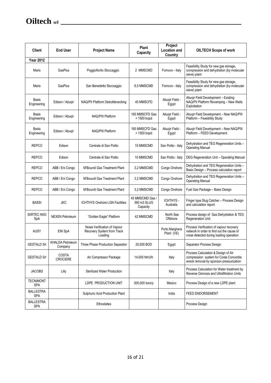| <b>Client</b>                  | <b>End User</b>                    | <b>Project Name</b>                                                   | <b>Plant</b><br>Capacity                   | Project<br><b>Location and</b><br>Country | <b>OILTECH Scope of work</b>                                                                                                    |
|--------------------------------|------------------------------------|-----------------------------------------------------------------------|--------------------------------------------|-------------------------------------------|---------------------------------------------------------------------------------------------------------------------------------|
| <b>Year 2012</b>               |                                    |                                                                       |                                            |                                           |                                                                                                                                 |
| Maris                          | GasPlus                            | Poggiofiorito Stoccaggio                                              | 2 MMSCMD                                   | Fornovo - Italy                           | Feasibility Study for new gas storage,<br>compression and dehydration (by molecular<br>sieve) plant                             |
| Maris                          | <b>GasPlus</b>                     | San Benedetto Stoccaggio                                              | 6,5 MMSCMD                                 | Fornovo - Italy                           | Feasibility Study for new gas storage,<br>compression and dehydration (by molecular<br>sieve) plant                             |
| Basis<br>Engineering           | Edison / Abugir                    | NAQ/PII Platform Debottlenecking                                      | 40 MMSCFD                                  | Abugir Field -<br>Egypt                   | Abugir Field Development - Existing<br>NAQ/PII Platform Revamping - New Wells<br>Exploitation                                   |
| Basis<br>Engineering           | Edison / Abugir                    | NAQ/PIII Platform                                                     | 165 MMSCFD Gas<br>+1500 bopd               | Abugir Field -<br>Egypt                   | Abugir Field Development - New NAQ/PIII<br>Platform - Feasibility Study                                                         |
| Basis<br>Engineering           | Edison / Abugir                    | NAQ/PIII Platform                                                     | 165 MMSCFD Gas<br>+1500 bopd               | Abugir Field -<br>Egypt                   | Abugir Field Development - New NAQ/PIII<br>Platform - FEED Development                                                          |
| <b>REPCO</b>                   | Edison                             | Centrale di San Potito                                                | 10 MMSCMD                                  | San Potito - Italy                        | Dehydration and TEG Regeneration Units -<br><b>Operating Manual</b>                                                             |
| <b>REPCO</b>                   | Edison                             | Centrale di San Potito                                                | 10 MMSCMD                                  | San Potito - Italy                        | DEG Regeneration Unit - Operating Manual                                                                                        |
| <b>REPCO</b>                   | ABB / Eni Congo                    | M'Boundi Gas Treatment Plant                                          | 3,2 MMSCMD                                 | Congo Onshore                             | Dehydration and TEG Regeneration Units -<br>Basic Design - Process calculation report                                           |
| <b>REPCO</b>                   | ABB / Eni Congo                    | M'Boundi Gas Treatment Plant                                          | 3,2 MMSCMD                                 | Congo Onshore                             | Dehydration and TEG Regeneration Units -<br><b>Operating Manual</b>                                                             |
| <b>REPCO</b>                   | ABB / Eni Congo                    | M'Boundi Gas Treatment Plant                                          | 3,2 MMSCMD                                 | Congo Onshore                             | Fuel Gas Package - Basic Design                                                                                                 |
| <b>BASSI</b>                   | <b>JKC</b>                         | <b>ICHTHYS Onshore LGN Facilities</b>                                 | 45 MMSCMD Gas /<br>360 m3 SLUG<br>Capacity | ICHTHYS-<br>Australia                     | Finger type Slug Catcher - Process Design<br>and calculation report                                                             |
| SIIRTEC NIGI<br>SpA            | <b>NEXEN Petroleum</b>             | "Golden Eagle" Platform                                               | 42 MMSCMD                                  | North Sea<br>Offshore                     | Process design of Gas Dehydration & TEG<br>Regeneration Unit                                                                    |
| <b>AUSY</b>                    | ENI SpA                            | Noise Verification of Vapour<br>Recovery System from Track<br>Loading |                                            | Porto Marghera<br>Plant (VE)              | Process Verification of vapour recovery<br>network in order to find out the cause of<br>noise detected during loading operation |
| <b>GESTALD Srl</b>             | <b>KHALDA Petroleum</b><br>Company | Three Phase Production Separator                                      | 20,000 BOD                                 | Egypt                                     | Separator Process Design                                                                                                        |
| <b>GESTALD Srl</b>             | <b>COSTA</b><br><b>CROCIERE</b>    | Air Compressor Package                                                | 14,000 Nm3/h                               | Italy                                     | Process Calculation & Design of Air<br>compression system for Costa Concordia<br>wreck removal by sponson pressurization        |
| <b>JACOBS</b>                  | Lilly                              | <b>Sterilized Water Production</b>                                    |                                            | Italy                                     | Process Calculation for Water treatment by<br>Reverse Osmosis and Ultrafiltration Units                                         |
| <b>TECNIMONT</b><br><b>SPA</b> |                                    | LDPE PRODUCTION UNIT                                                  | 300,000 tons/y                             | Mexico                                    | Process Design of a new LDPE plant                                                                                              |
| <b>BALLESTRA</b><br><b>SPA</b> |                                    | Sulphuric Acid Production Plant                                       |                                            | India                                     | FEED ENDORSEMENT                                                                                                                |
| <b>BALLESTRA</b><br><b>SPA</b> |                                    | Ethoxilates                                                           |                                            |                                           | Process Design                                                                                                                  |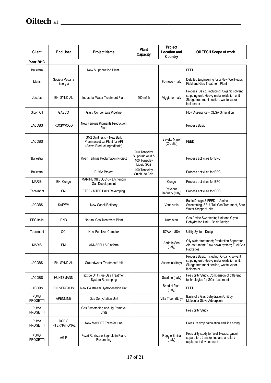| <b>Client</b>                  | <b>End User</b>                      | <b>Project Name</b>                                                                             | <b>Plant</b><br>Capacity                                                   | Project<br><b>Location and</b><br>Country | <b>OILTECH Scope of work</b>                                                                                                                     |
|--------------------------------|--------------------------------------|-------------------------------------------------------------------------------------------------|----------------------------------------------------------------------------|-------------------------------------------|--------------------------------------------------------------------------------------------------------------------------------------------------|
| <b>Year 2013</b>               |                                      |                                                                                                 |                                                                            |                                           |                                                                                                                                                  |
| <b>Ballestra</b>               |                                      | <b>New Sulphonation Plant</b>                                                                   |                                                                            |                                           | <b>FEED</b>                                                                                                                                      |
| Maris                          | Società Padana<br>Energia            |                                                                                                 |                                                                            | Fornovo - Italy                           | Detailed Engineering for a New WellHeads<br><b>Field and Gas Treatment Plant</b>                                                                 |
| Jacobs                         | <b>ENI SYNDIAL</b>                   | Industrial Water Treatment Plant                                                                | 500 m3/h                                                                   | Viggiano - Italy                          | Process Basic. including: Organic solvent<br>stripping unit, Heavy metal oxidation unit,<br>Sludge treatment section, waste vapor<br>incinerator |
| Sicon Oil                      | <b>GASCO</b>                         | Gas / Condensate Pipeline                                                                       |                                                                            |                                           | Flow Assurance - OLGA Simulation                                                                                                                 |
| <b>JACOBS</b>                  | <b>ROCKWOOD</b>                      | New Ferrous Pigments Production<br>Plant                                                        |                                                                            |                                           | Process Basic                                                                                                                                    |
| <b>JACOBS</b>                  |                                      | SM2 Synthesis - New Bulk<br><b>Pharmaceutical Plant for API</b><br>(Active Product Ingredients) |                                                                            | Savsky Marof<br>(Croatia)                 | <b>FEED</b>                                                                                                                                      |
| <b>Ballestra</b>               |                                      | Roan Tailings Reclamation Project                                                               | 900 Tons/day<br>Sulphuric Acid &<br>100 Tons/day<br>Liquid SO <sub>2</sub> |                                           | Process activities for EPC                                                                                                                       |
| <b>Ballestra</b>               |                                      | PUMA Project                                                                                    | 100 Tons/day<br>Sulphuric Acid                                             |                                           | Process activities for EPC                                                                                                                       |
| <b>MARIS</b>                   | <b>ENI Congo</b>                     | MARINE XII BLOCK - Litchendjili<br>Gas Development                                              |                                                                            | Congo                                     | Process activities for EPC                                                                                                                       |
| Tecnimont                      | ENI                                  | ETBE / MTBE Units Revamping                                                                     |                                                                            | Ravenna<br>Refinery (Italy)               | Process activities for EPC                                                                                                                       |
| <b>JACOBS</b>                  | <b>SAIPEM</b>                        | New Gasoil Refinery                                                                             |                                                                            | Venezuela                                 | Basic Design & FEED - Amine<br>Sweetening, SRU, Tail Gas Treatment, Sour<br>Water Stripper Units                                                 |
| <b>PEG</b> Italia              | <b>DNO</b>                           | Natural Gas Treatment Plant                                                                     |                                                                            | Kurdistan                                 | Gas Amine Sweetening Unit and Glycol<br>Dehydration Unit - Basic Design                                                                          |
| Tecnimont                      | OCI                                  | New Fertilizer Complex                                                                          |                                                                            | <b>IOWA - USA</b>                         | Utility System Design                                                                                                                            |
| <b>MARIS</b>                   | ENI                                  | <b>ANNABELLA Platform</b>                                                                       |                                                                            | Adriatic Sea<br>(Italy)                   | Oily water treatment; Production Separator,<br>Air Instrument; Blow down system; Fuel Gas<br>Packages                                            |
| <b>JACOBS</b>                  | <b>ENI SYNDIAL</b>                   | <b>Groundwater Treatment Unit</b>                                                               |                                                                            | Assemini (Italy)                          | Process Basic, including: Organic solvent<br>stripping unit, Heavy metal oxidation unit,<br>Sludge treatment section, waste vapor<br>incinerator |
| <b>JACOBS</b>                  | <b>HUNTSMANN</b>                     | Tioxide Unit Flue Gas Treatment<br>System Revamping                                             |                                                                            | Scarlino (Italy)                          | Feasibility Study. Comparison of different<br>technologies for SOx abatement                                                                     |
| <b>JACOBS</b>                  | <b>ENI VERSALIS</b>                  | New C4 stream Hydrogenation Unit                                                                |                                                                            | <b>Brindisi Plant</b><br>(Italy)          | FEED.                                                                                                                                            |
| <b>PUMA</b><br><b>PROGETTI</b> | <b>APENNINE</b>                      | Gas Dehydration Unit                                                                            |                                                                            | Villa Tiberi (Italy)                      | Basic of a Gas Dehydration Unit by<br>Molecular Sieve Adsorption                                                                                 |
| <b>PUMA</b><br>PROGETTI        |                                      | Gas Sweetening and Hg Removal<br>Units                                                          |                                                                            |                                           | <b>Feasibility Study</b>                                                                                                                         |
| <b>PUMA</b><br><b>PROGETTI</b> | <b>DORIS</b><br><b>INTERNATIONAL</b> | New Melt PET Transfer Line                                                                      |                                                                            |                                           | Pressure drop calculation and line sizing                                                                                                        |
| <b>PUMA</b><br><b>PROGETTI</b> | <b>AGIP</b>                          | Pozzi Ravizza e Bagnolo in Piano<br>Revamping                                                   |                                                                            | Reggio Emilia<br>(Italy)                  | Feasibility study for Well Heads, gas/oil<br>separation, transfer line and ancillary<br>equipment development                                    |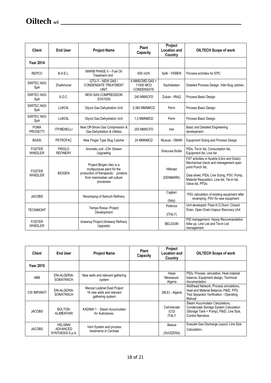| Client                          | <b>End User</b>           | <b>Project Name</b>                                                                                                                         | <b>Plant</b><br>Capacity                         | Project<br><b>Location and</b><br>Country | <b>OILTECH Scope of work</b>                                                                                                                                                                                                |
|---------------------------------|---------------------------|---------------------------------------------------------------------------------------------------------------------------------------------|--------------------------------------------------|-------------------------------------------|-----------------------------------------------------------------------------------------------------------------------------------------------------------------------------------------------------------------------------|
| <b>Year 2014</b>                |                           |                                                                                                                                             |                                                  |                                           |                                                                                                                                                                                                                             |
| <b>REPCO</b>                    | B.H.E.L.                  | MARIB PHASE II - Fuel Oil<br><b>Treatment Unit</b>                                                                                          | 600 m3/h                                         | Safir - YEMEN                             | Process activities for EPC                                                                                                                                                                                                  |
| SIIRTEC NIGI<br>SpA             | Zhaikmunai                | GTU-3 - NEW GAS /<br><b>CONDENSATE TREATMENT</b><br>UNIT                                                                                    | 6 MMSCMD GAS +<br>11000 MCD<br><b>CONDENSATE</b> | Kazhakistan                               | Detailed Process Design. Inlet Slug catcher,                                                                                                                                                                                |
| SIIRTEC NIGI<br>SpA             | S.O.C.                    | <b>NEW GAS COMPRESSION</b><br><b>STATION</b>                                                                                                | 240 MMSCFD                                       | Zubair - IRAQ                             | Process Basic Design                                                                                                                                                                                                        |
| SIIRTEC NIGI<br>SpA             | <b>LUKOIL</b>             | Glycol Gas Dehydration Unit                                                                                                                 | 0.360 MMNMCD                                     | Perm                                      | Process Basic Design                                                                                                                                                                                                        |
| SIIRTEC NIGI<br>SpA             | <b>LUKOIL</b>             | Glycol Gas Dehydration Unit                                                                                                                 | 1,3 MMNMCD                                       | Perm                                      | Process Basic Design                                                                                                                                                                                                        |
| <b>PUMA</b><br><b>PROGETTI</b>  | <b>ITP/BENELLI</b>        | New Off-Shore Gas Compression &<br>Gas Dehydration & Utilities                                                                              | 250 MMSCFD                                       | Iran                                      | Basic and Detailed Engineering<br>development                                                                                                                                                                               |
| <b>BASSI</b>                    | <b>PETROFAC</b>           | New Finger Type Slug Catcher                                                                                                                | 24 MMNMCD                                        | Muscat - OMAN                             | Equipment Sizing and Process Design                                                                                                                                                                                         |
| <b>FOSTER</b><br><b>WHEELER</b> | PRIOLO<br><b>REFINERY</b> | Aromatic unit -C9+ Stream<br>Upgrading                                                                                                      |                                                  | Siracusa-Sicilia                          | PIDs, Tie-in list, Consumption list,<br>Equipment list, Line list                                                                                                                                                           |
| <b>FOSTER</b><br><b>WHEELER</b> | <b>BIOGEN</b>             | Project Biogen Idec is a<br>multipurpose plant for the<br>production of therapeutic<br>proteins<br>from mammalian cell culture<br>processes |                                                  | Hillerod<br>(DENMARK)                     | FAT activities in Austria (Llinz and Gratz):<br>Mechanical check and management open<br>point Punch list;<br>Data sheet, PIDs, Line Sizing, PSV, Pump,<br>Material Requisition, Line list, Tie-in list,<br>Valve list, PFDs |
| <b>JACOBS</b>                   |                           | Revamping of Sarroch Refinery                                                                                                               |                                                  | Cagliari<br>(Italy)                       | PSV calculation of existing equipment after<br>revamping, PSV for new equipment                                                                                                                                             |
| <b>TECNIMONT</b>                |                           | Tempa Rossa Project<br>Development                                                                                                          |                                                  | Potenza<br>(ITALY)                        | Unit developed: Flare K.O.Drum, Closed<br>Drain, Open Drain, Vapour Recovery Unit                                                                                                                                           |
| <b>FOSTER</b><br><b>WHEELER</b> |                           | Anwerup Project (Antwerp Refinery<br>Upgrade)                                                                                               |                                                  | <b>BELGIUM</b>                            | PID management, Hazop Reccomandation<br>follw-up, Line List and Tie-in List<br>management                                                                                                                                   |

| <b>Client</b>       | End User                                              | <b>Project Name</b>                                                          | <b>Plant</b><br>Capacity | Project<br>Location and<br>Country | <b>OILTECH Scope of work</b>                                                                                                              |
|---------------------|-------------------------------------------------------|------------------------------------------------------------------------------|--------------------------|------------------------------------|-------------------------------------------------------------------------------------------------------------------------------------------|
| <b>Year 2015</b>    |                                                       |                                                                              |                          |                                    |                                                                                                                                           |
| ABB                 | ENI-ALGERIA-<br>SONATRACH                             | New wells and relevant gathering<br>system                                   |                          | Hassi<br>Messaoud-<br>Algeria      | PIDs, Process simulation, Heat material<br>balance, Equipment design, Technical<br>documentation                                          |
| <b>CSI IMPIANTI</b> | ENI-ALGERIA-<br>SONATRACH                             | Menzel Ledimet East Project<br>16 new wells and relevant<br>gathering system |                          | (MLE) - Algeria                    | Wellhead Network, Process simulations,<br>Heat and Material Balance, P&ID, PFD,<br>Test Separator Verification.- Operating<br>Manual      |
| <b>JACOBS</b>       | BOI TON-<br><b>ALIMENTARI</b>                         | KADIMA 1: Steam Accumulator<br>for Autoclaves.                               |                          | Cerrmenate<br>(CO)<br><b>ITALY</b> | Steam Accumulator Calculations,<br>Condensate Storage System Calculation<br>(Storage Tank + Pump), P&ID, Line Size,<br>Control Narrative. |
| <b>JACOBS</b>       | <b>HELSINN</b><br><b>ADVANCED</b><br>SYNTHESIS S.p.A. | Vent System and process<br>treatments in Centrale                            |                          | Biasca<br>(SVIZZERA)               | Exauste Gas Discharge Layout, Line Size<br>Calculation.                                                                                   |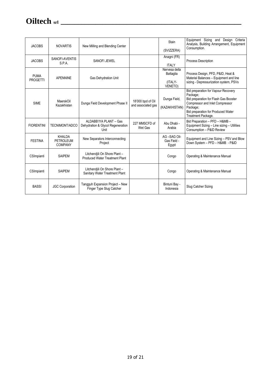| <b>JACOBS</b>                  | <b>NOVARTIS</b>                              | New Milling and Blending Center                                        |                                         | <b>Stain</b><br>(SVIZZERA)                       | Equipment Sizing and Design Criteria<br>Analysis, Building Arrangement, Equipment<br>Consumption.                                                                                                          |
|--------------------------------|----------------------------------------------|------------------------------------------------------------------------|-----------------------------------------|--------------------------------------------------|------------------------------------------------------------------------------------------------------------------------------------------------------------------------------------------------------------|
| <b>JACOBS</b>                  | SANOFI-AVENTIS<br>S.P.A.                     | <b>SANOFI JEWEL</b>                                                    |                                         | Anagni (FR)<br><b>ITALY</b>                      | Process Description                                                                                                                                                                                        |
| <b>PUMA</b><br><b>PROGETTI</b> | <b>APENNINE</b>                              | <b>Gas Dehydration Unit</b>                                            |                                         | Nervesa della<br>Battaglia<br>(ITALY-<br>VENETO) | Process Design, PFD, P&ID, Heat &<br>Material Balances - Equipment and line<br>sizing - Depressurization system, PSVs                                                                                      |
| <b>SIME</b>                    | MaerskOil<br>Kazakhistan                     | Dunga Field Development Phase II                                       | 18'000 bpd of Oil<br>and associated gas | Dunga Field,<br>(KAZAKHISTAN)                    | <b>Bid preparation for Vapour Recovery</b><br>Package:<br>Bid preparation for Flash Gas Booster<br>Compressor and Inlet Compressor<br>Package;<br>Bid preparation for Produced Water<br>Treatment Package. |
| <b>FIORENTINI</b>              | TECNIMONT/ADCO                               | ALDABB'IYA PLANT - Gas<br>Dehydration & Glycol Regeneration<br>Unit    | 227 MMSCFD of<br>Wet Gas                | Abu Dhabi -<br>Arabia                            | Bid Preparation - PFD - H&MB -<br>Equipment Sizing - Line sizing - Utilities<br>Consumption - P&ID Review                                                                                                  |
| <b>FESTINA</b>                 | <b>KHALDA</b><br>PETROLEUM<br><b>COMPANY</b> | New Separators Interconnecting<br>Project                              |                                         | AG-SAG Oil-<br>Gas Field -<br>Egypt              | Equipment and Line Sizing - PSV and Blow<br>Down System - PFD - H&MB - P&ID                                                                                                                                |
| CSImpianti                     | <b>SAIPEM</b>                                | Litchendjili On Shore Plant -<br><b>Produced Water Treatment Plant</b> |                                         | Congo                                            | Operating & Maintenance Manual                                                                                                                                                                             |
| CSImpianti                     | <b>SAIPEM</b>                                | Litchendiili On Shore Plant -<br>Sanitary Water Treatment Plant        |                                         | Congo                                            | Operating & Maintenance Manual                                                                                                                                                                             |
| <b>BASSI</b>                   | <b>JGC Corporation</b>                       | Tangguh Expansion Project - New<br>Finger Type Slug Catcher            |                                         | Bintuni Bay -<br>Indonesia                       | Slug Catcher Sizing                                                                                                                                                                                        |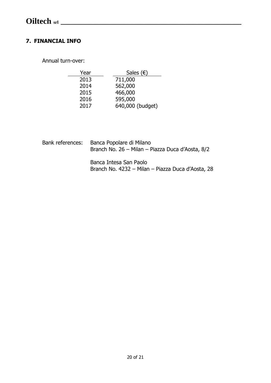#### <span id="page-19-0"></span>**7. FINANCIAL INFO**

Annual turn-over:

| Year | Sales $(\epsilon)$ |
|------|--------------------|
| 2013 | 711,000            |
| 2014 | 562,000            |
| 2015 | 466,000            |
| 2016 | 595,000            |
| 2017 | 640,000 (budget)   |

| Bank references: | Banca Popolare di Milano<br>Branch No. 26 – Milan – Piazza Duca d'Aosta, 8/2 |
|------------------|------------------------------------------------------------------------------|
|                  | Banca Intesa San Paolo                                                       |

Branch No. 4232 – Milan – Piazza Duca d'Aosta, 28

20 of 21